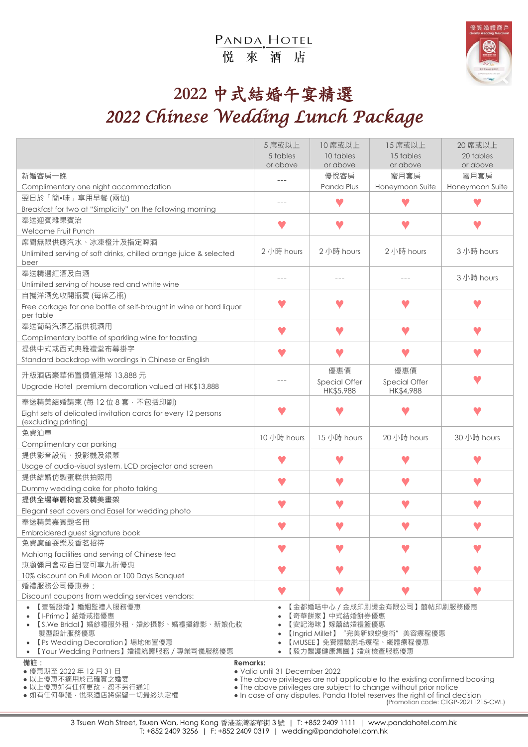## PANDA, HOTEL 悦來酒店



## **2022** 中式結婚午宴精選 *2022 Chinese Wedding Lunch Package*

|                                                                                                     | 5 席或以上                                                                                                                                                                                                                          | 10 席或以上       | 15 席或以上         | 20 席或以上         |
|-----------------------------------------------------------------------------------------------------|---------------------------------------------------------------------------------------------------------------------------------------------------------------------------------------------------------------------------------|---------------|-----------------|-----------------|
|                                                                                                     | 5 tables                                                                                                                                                                                                                        | 10 tables     | 15 tables       | 20 tables       |
|                                                                                                     | or above                                                                                                                                                                                                                        | or above      | or above        | or above        |
| 新婚客房一晚                                                                                              |                                                                                                                                                                                                                                 | 優悅客房          | 蜜月套房            | 蜜月套房            |
| Complimentary one night accommodation                                                               |                                                                                                                                                                                                                                 | Panda Plus    | Honeymoon Suite | Honeymoon Suite |
| 翌日於「簡•味」享用早餐 (兩位)                                                                                   | $---$                                                                                                                                                                                                                           |               |                 |                 |
| Breakfast for two at "Simplicity" on the following morning                                          |                                                                                                                                                                                                                                 |               |                 |                 |
| 奉送迎賓雜果賓治                                                                                            |                                                                                                                                                                                                                                 |               |                 |                 |
| Welcome Fruit Punch                                                                                 |                                                                                                                                                                                                                                 |               |                 |                 |
| 席間無限供應汽水、冰凍橙汁及指定啤酒<br>Unlimited serving of soft drinks, chilled orange juice & selected             | 2 小時 hours                                                                                                                                                                                                                      | 2 小時 hours    | 2 小時 hours      | 3 小時 hours      |
| beer                                                                                                |                                                                                                                                                                                                                                 |               |                 |                 |
| 奉送精選紅酒及白酒                                                                                           |                                                                                                                                                                                                                                 |               |                 |                 |
| Unlimited serving of house red and white wine                                                       |                                                                                                                                                                                                                                 | $- - -$       |                 | 3 小時 hours      |
| 自攜洋酒免收開瓶費 (每席乙瓶)                                                                                    |                                                                                                                                                                                                                                 |               |                 |                 |
| Free corkage for one bottle of self-brought in wine or hard liquor                                  |                                                                                                                                                                                                                                 |               |                 |                 |
| per table                                                                                           |                                                                                                                                                                                                                                 |               |                 |                 |
| 奉送葡萄汽酒乙瓶供祝酒用                                                                                        |                                                                                                                                                                                                                                 | v             |                 |                 |
| Complimentary bottle of sparkling wine for toasting                                                 |                                                                                                                                                                                                                                 |               |                 |                 |
| 提供中式或西式典雅禮堂布幕掛字                                                                                     |                                                                                                                                                                                                                                 |               |                 |                 |
| Standard backdrop with wordings in Chinese or English                                               |                                                                                                                                                                                                                                 |               |                 |                 |
| 升級酒店豪華佈置價值港幣 13,888元                                                                                |                                                                                                                                                                                                                                 | 優惠價           | 優惠價             |                 |
| Upgrade Hotel premium decoration valued at HK\$13,888                                               |                                                                                                                                                                                                                                 | Special Offer | Special Offer   |                 |
|                                                                                                     |                                                                                                                                                                                                                                 | HK\$5,988     | HK\$4,988       |                 |
| 奉送精美結婚請柬 (每 12 位 8 套 · 不包括印刷)                                                                       |                                                                                                                                                                                                                                 |               |                 |                 |
| Eight sets of delicated invitation cards for every 12 persons<br>(excluding printing)               |                                                                                                                                                                                                                                 |               |                 |                 |
| 免費泊車                                                                                                |                                                                                                                                                                                                                                 |               |                 |                 |
| Complimentary car parking                                                                           | 10 小時 hours                                                                                                                                                                                                                     | 15 小時 hours   | 20 小時 hours     | 30 小時 hours     |
| 提供影音設備、投影機及銀幕                                                                                       |                                                                                                                                                                                                                                 |               |                 |                 |
| Usage of audio-visual system, LCD projector and screen                                              |                                                                                                                                                                                                                                 |               |                 |                 |
| 提供結婚仿製蛋糕供拍照用                                                                                        |                                                                                                                                                                                                                                 | w             |                 |                 |
| Dummy wedding cake for photo taking                                                                 |                                                                                                                                                                                                                                 |               |                 |                 |
| 提供全場華麗椅套及精美書架                                                                                       |                                                                                                                                                                                                                                 |               |                 |                 |
| Elegant seat covers and Easel for wedding photo                                                     |                                                                                                                                                                                                                                 |               |                 |                 |
| 奉送精美嘉賓題名冊                                                                                           |                                                                                                                                                                                                                                 |               |                 |                 |
| Embroidered guest signature book                                                                    |                                                                                                                                                                                                                                 |               |                 |                 |
| 免費麻雀耍樂及香茗招待                                                                                         |                                                                                                                                                                                                                                 |               |                 |                 |
| Mahjong facilities and serving of Chinese tea                                                       |                                                                                                                                                                                                                                 |               |                 |                 |
| 惠顧彌月會或百日宴可享九折優惠                                                                                     |                                                                                                                                                                                                                                 |               |                 |                 |
| 10% discount on Full Moon or 100 Days Banquet                                                       |                                                                                                                                                                                                                                 |               |                 |                 |
| 婚禮服務公司優惠券:<br>Discount coupons from wedding services vendors:                                       |                                                                                                                                                                                                                                 |               |                 |                 |
| 【壹誓證婚】婚姻監禮人服務優惠                                                                                     |                                                                                                                                                                                                                                 |               |                 |                 |
| 【I-Primo】結婚戒指優惠                                                                                     | 【金都婚咭中心 / 金成印刷燙金有限公司】囍帖印刷服務優惠<br>【奇華餅家】中式結婚餅券優惠<br>【安記海味】嫁囍結婚禮籃優惠                                                                                                                                                               |               |                 |                 |
| 【S.We Bridal】婚紗禮服外租、婚紗攝影、婚禮攝錄影、新娘化妝                                                                 |                                                                                                                                                                                                                                 |               |                 |                 |
| 髮型設計服務優惠                                                                                            | 【Ingrid Millet】"完美新娘蛻變術"美容療程優惠                                                                                                                                                                                                  |               |                 |                 |
| 【Ps Wedding Decoration】場地佈置優惠<br>$\bullet$<br>【Your Wedding Partners】婚禮統籌服務 / 專業司儀服務優惠<br>$\bullet$ | 【MUSEE】免費體驗脫毛療程、纖體療程優惠<br>【毅力醫護健康集團】婚前檢查服務優惠                                                                                                                                                                                    |               |                 |                 |
| 備註:<br><b>Remarks:</b>                                                                              |                                                                                                                                                                                                                                 |               |                 |                 |
| ● 優惠期至 2022年12月31日<br>• Valid until 31 December 2022                                                |                                                                                                                                                                                                                                 |               |                 |                 |
| • 以上優惠不適用於已確實之婚宴<br>• 以上優惠如有任何更改 · 恕不另行通知                                                           | • The above privileges are not applicable to the existing confirmed booking<br>• The above privileges are subject to change without prior notice<br>. In case of any disputes, Panda Hotel reserves the right of final decision |               |                 |                 |
| ● 如有任何爭議‧悅來酒店將保留一切最終決定權                                                                             |                                                                                                                                                                                                                                 |               |                 |                 |
| (Promotion code: CTGP-20211215-CWL)                                                                 |                                                                                                                                                                                                                                 |               |                 |                 |